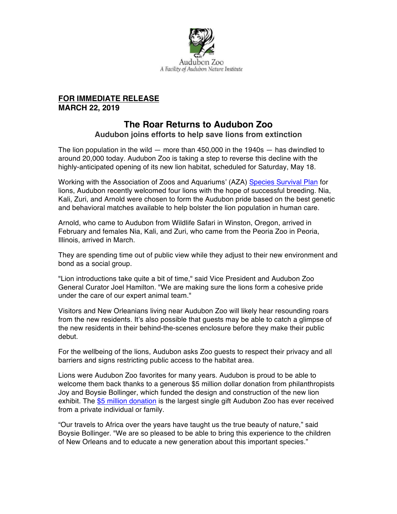

## **FOR IMMEDIATE RELEASE MARCH 22, 2019**

## **The Roar Returns to Audubon Zoo**

**Audubon joins efforts to help save lions from extinction**

The lion population in the wild  $-$  more than 450,000 in the 1940s  $-$  has dwindled to around 20,000 today. Audubon Zoo is taking a step to reverse this decline with the highly-anticipated opening of its new lion habitat, scheduled for Saturday, May 18.

Working with the Association of Zoos and Aquariums' (AZA) Species Survival Plan for lions, Audubon recently welcomed four lions with the hope of successful breeding. Nia, Kali, Zuri, and Arnold were chosen to form the Audubon pride based on the best genetic and behavioral matches available to help bolster the lion population in human care.

Arnold, who came to Audubon from Wildlife Safari in Winston, Oregon, arrived in February and females Nia, Kali, and Zuri, who came from the Peoria Zoo in Peoria, Illinois, arrived in March.

They are spending time out of public view while they adjust to their new environment and bond as a social group.

"Lion introductions take quite a bit of time," said Vice President and Audubon Zoo General Curator Joel Hamilton. "We are making sure the lions form a cohesive pride under the care of our expert animal team."

Visitors and New Orleanians living near Audubon Zoo will likely hear resounding roars from the new residents. It's also possible that guests may be able to catch a glimpse of the new residents in their behind-the-scenes enclosure before they make their public debut.

For the wellbeing of the lions, Audubon asks Zoo guests to respect their privacy and all barriers and signs restricting public access to the habitat area.

Lions were Audubon Zoo favorites for many years. Audubon is proud to be able to welcome them back thanks to a generous \$5 million dollar donation from philanthropists Joy and Boysie Bollinger, which funded the design and construction of the new lion exhibit. The \$5 million donation is the largest single gift Audubon Zoo has ever received from a private individual or family.

"Our travels to Africa over the years have taught us the true beauty of nature," said Boysie Bollinger. "We are so pleased to be able to bring this experience to the children of New Orleans and to educate a new generation about this important species."